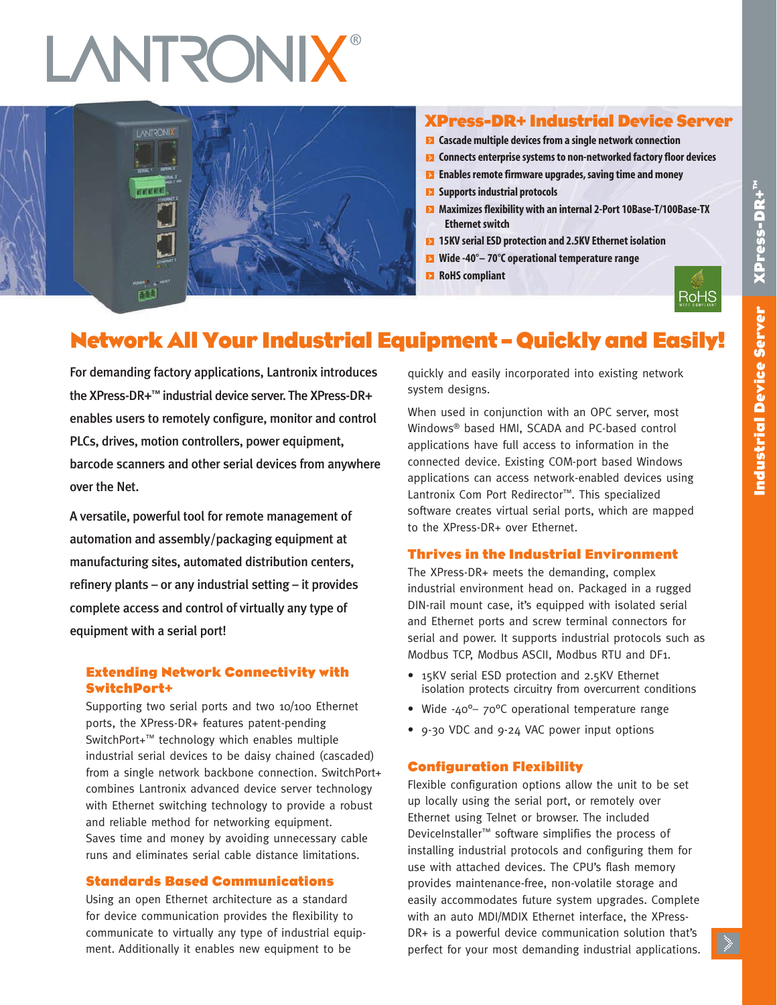# **LANTRONIX®**



## **XPress-DR+ Industrial Device Server**

- **Cascademultiple devicesfroma single network connection**
- **EX** Connects enterprise systems to non-networked factory floor devices
- **Enables remote firmware upgrades, saving time and money**
- **EX** Supports industrial protocols
- **Maximizesflexibility with an internal 2-Port 10Base-T/100Base-TX Ethernet switch**
- **15KV serialESD protection and 2.5KV Ethernet isolation**
- **Wide -40°– 70°C operational temperature range**
- **RoHS** compliant



# **Network All Your Industrial Equipment – Quickly and Easily!**

For demanding factory applications, Lantronix introduces the XPress-DR+™ industrial device server. The XPress-DR+ enables users to remotely configure, monitor and control PLCs, drives, motion controllers, power equipment, barcode scanners and other serial devices from anywhere over the Net.

A versatile, powerful tool for remote management of automation and assembly/packaging equipment at manufacturing sites, automated distribution centers, refinery plants – or any industrial setting – it provides complete access and control of virtually any type of equipment with a serial port!

## **Extending Network Connectivity with SwitchPort+**

Supporting two serial ports and two 10/100 Ethernet ports, the XPress-DR+ features patent-pending SwitchPort+™ technology which enables multiple industrial serial devices to be daisy chained (cascaded) from a single network backbone connection. SwitchPort+ combines Lantronix advanced device server technology with Ethernet switching technology to provide a robust and reliable method for networking equipment. Saves time and money by avoiding unnecessary cable runs and eliminates serial cable distance limitations.

## **Standards Based Communications**

Using an open Ethernet architecture as a standard for device communication provides the flexibility to communicate to virtually any type of industrial equipment. Additionally it enables new equipment to be

quickly and easily incorporated into existing network system designs.

When used in conjunction with an OPC server, most Windows® based HMI, SCADA and PC-based control applications have full access to information in the connected device. Existing COM-port based Windows applications can access network-enabled devices using Lantronix Com Port Redirector™. This specialized software creates virtual serial ports, which are mapped to the XPress-DR+ over Ethernet.

## **Thrives in the Industrial Environment**

The XPress-DR+ meets the demanding, complex industrial environment head on. Packaged in a rugged DIN-rail mount case, it's equipped with isolated serial and Ethernet ports and screw terminal connectors for serial and power. It supports industrial protocols such as Modbus TCP, Modbus ASCII, Modbus RTU and DF1.

- 15KV serial ESD protection and 2.5KV Ethernet isolation protects circuitry from overcurrent conditions
- Wide -40<sup>o</sup>- 70<sup>o</sup>C operational temperature range
- 9-30 VDC and 9-24 VAC power input options

## **Configuration Flexibility**

Flexible configuration options allow the unit to be set up locally using the serial port, or remotely over Ethernet using Telnet or browser. The included DeviceInstaller™ software simplifies the process of installing industrial protocols and configuring them for use with attached devices. The CPU's flash memory provides maintenance-free, non-volatile storage and easily accommodates future system upgrades. Complete with an auto MDI/MDIX Ethernet interface, the XPress-DR+ is a powerful device communication solution that's perfect for your most demanding industrial applications.